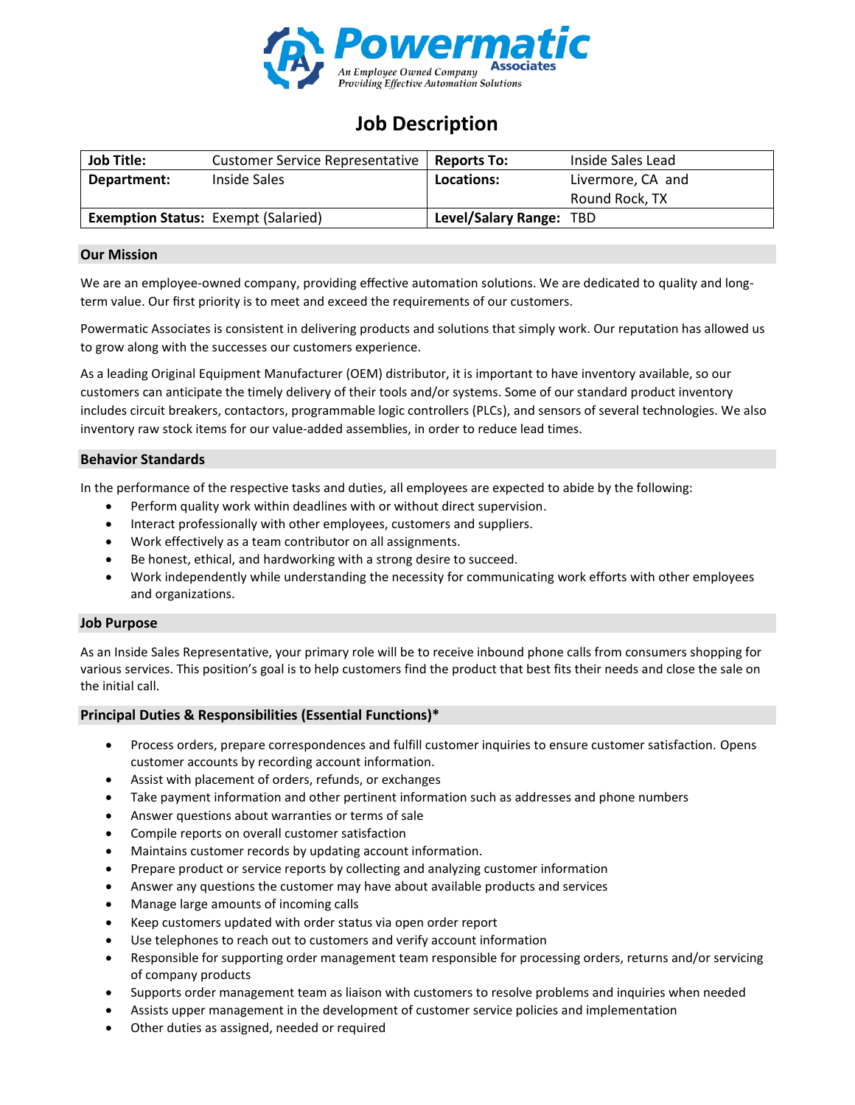

# **Job Description**

| <b>Job Title:</b>                          | <b>Customer Service Representative</b> | <b>Reports To:</b>      | Inside Sales Lead |
|--------------------------------------------|----------------------------------------|-------------------------|-------------------|
| Department:                                | Inside Sales                           | Locations:              | Livermore, CA and |
|                                            |                                        |                         | Round Rock, TX    |
| <b>Exemption Status: Exempt (Salaried)</b> |                                        | Level/Salary Range: TBD |                   |

#### **Our Mission**

We are an employee-owned company, providing effective automation solutions. We are dedicated to quality and longterm value. Our first priority is to meet and exceed the requirements of our customers.

Powermatic Associates is consistent in delivering products and solutions that simply work. Our reputation has allowed us to grow along with the successes our customers experience.

As a leading Original Equipment Manufacturer (OEM) distributor, it is important to have inventory available, so our customers can anticipate the timely delivery of their tools and/or systems. Some of our standard product inventory includes circuit breakers, contactors, programmable logic controllers (PLCs), and sensors of several technologies. We also inventory raw stock items for our value-added assemblies, in order to reduce lead times.

#### **Behavior Standards**

In the performance of the respective tasks and duties, all employees are expected to abide by the following:

- Perform quality work within deadlines with or without direct supervision.
- Interact professionally with other employees, customers and suppliers.
- Work effectively as a team contributor on all assignments.
- Be honest, ethical, and hardworking with a strong desire to succeed.
- Work independently while understanding the necessity for communicating work efforts with other employees and organizations.

#### **Job Purpose**

As an Inside Sales Representative, your primary role will be to receive inbound phone calls from consumers shopping for various services. This position's goal is to help customers find the product that best fits their needs and close the sale on the initial call.

# **Principal Duties & Responsibilities (Essential Functions)\***

- Process orders, prepare correspondences and fulfill customer inquiries to ensure customer satisfaction. Opens customer accounts by recording account information.
- Assist with placement of orders, refunds, or exchanges
- Take payment information and other pertinent information such as addresses and phone numbers
- Answer questions about warranties or terms of sale
- Compile reports on overall customer satisfaction
- Maintains customer records by updating account information.
- Prepare product or service reports by collecting and analyzing customer information
- Answer any questions the customer may have about available products and services
- Manage large amounts of incoming calls
- Keep customers updated with order status via open order report
- Use telephones to reach out to customers and verify account information
- Responsible for supporting order management team responsible for processing orders, returns and/or servicing of company products
- Supports order management team as liaison with customers to resolve problems and inquiries when needed
- Assists upper management in the development of customer service policies and implementation
- Other duties as assigned, needed or required